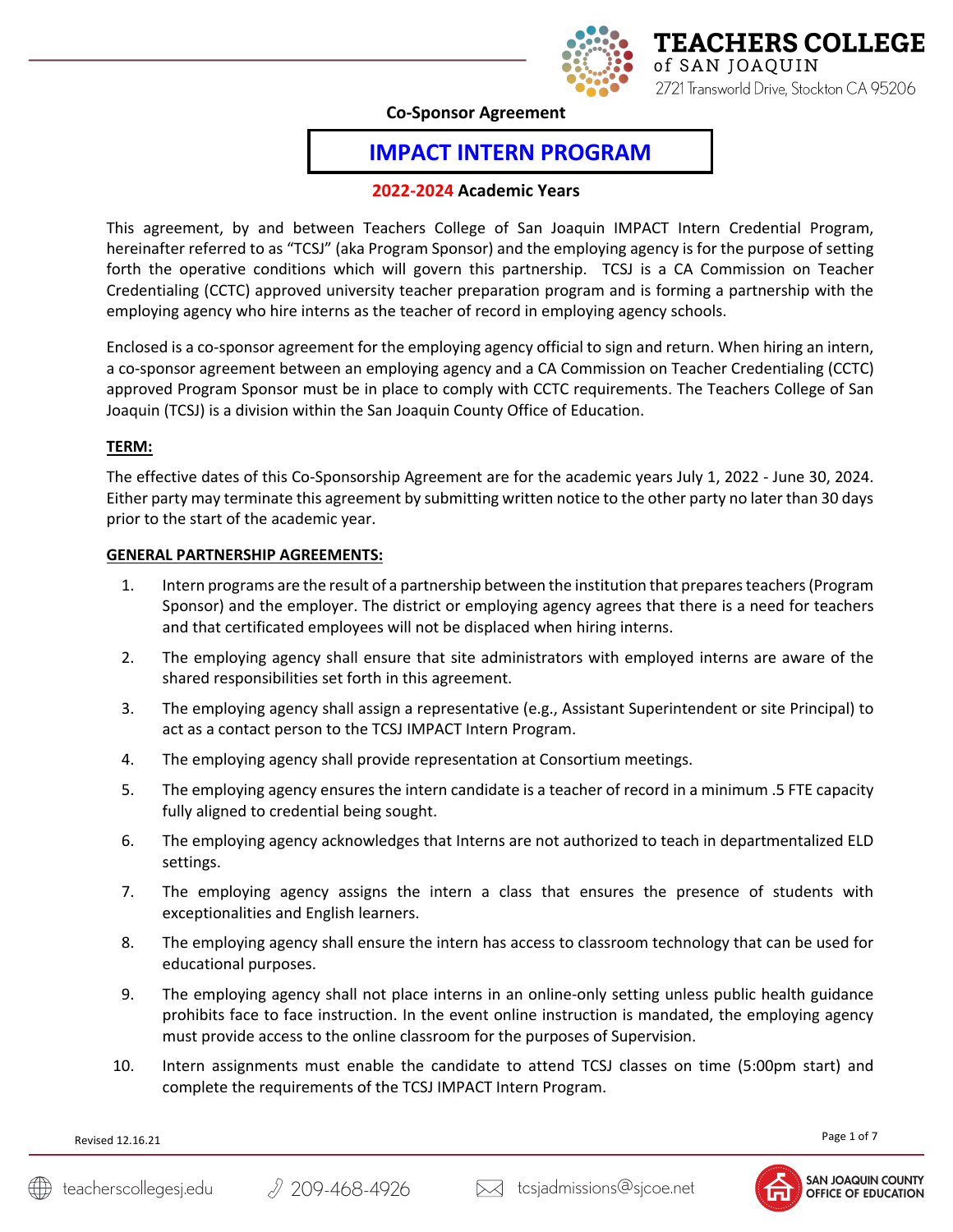

**Co-Sponsor Agreement**

# **IMPACT INTERN PROGRAM**

# **2022-2024 Academic Years**

This agreement, by and between Teachers College of San Joaquin IMPACT Intern Credential Program, hereinafter referred to as "TCSJ" (aka Program Sponsor) and the employing agency is for the purpose of setting forth the operative conditions which will govern this partnership. TCSJ is a CA Commission on Teacher Credentialing (CCTC) approved university teacher preparation program and is forming a partnership with the employing agency who hire interns as the teacher of record in employing agency schools.

Enclosed is a co-sponsor agreement for the employing agency official to sign and return. When hiring an intern, a co-sponsor agreement between an employing agency and a CA Commission on Teacher Credentialing (CCTC) approved Program Sponsor must be in place to comply with CCTC requirements. The Teachers College of San Joaquin (TCSJ) is a division within the San Joaquin County Office of Education.

# **TERM:**

The effective dates of this Co-Sponsorship Agreement are for the academic years July 1, 2022 - June 30, 2024. Either party may terminate this agreement by submitting written notice to the other party no later than 30 days prior to the start of the academic year.

## **GENERAL PARTNERSHIP AGREEMENTS:**

- 1. Intern programs are the result of a partnership between the institution that prepares teachers (Program Sponsor) and the employer. The district or employing agency agrees that there is a need for teachers and that certificated employees will not be displaced when hiring interns.
- 2. The employing agency shall ensure that site administrators with employed interns are aware of the shared responsibilities set forth in this agreement.
- 3. The employing agency shall assign a representative (e.g., Assistant Superintendent or site Principal) to act as a contact person to the TCSJ IMPACT Intern Program.
- 4. The employing agency shall provide representation at Consortium meetings.
- 5. The employing agency ensures the intern candidate is a teacher of record in a minimum .5 FTE capacity fully aligned to credential being sought.
- 6. The employing agency acknowledges that Interns are not authorized to teach in departmentalized ELD settings.
- 7. The employing agency assigns the intern a class that ensures the presence of students with exceptionalities and English learners.
- 8. The employing agency shall ensure the intern has access to classroom technology that can be used for educational purposes.
- 9. The employing agency shall not place interns in an online-only setting unless public health guidance prohibits face to face instruction. In the event online instruction is mandated, the employing agency must provide access to the online classroom for the purposes of Supervision.
- 10. Intern assignments must enable the candidate to attend TCSJ classes on time (5:00pm start) and complete the requirements of the TCSJ IMPACT Intern Program.

Page 1 of 7

Revised 12.16.21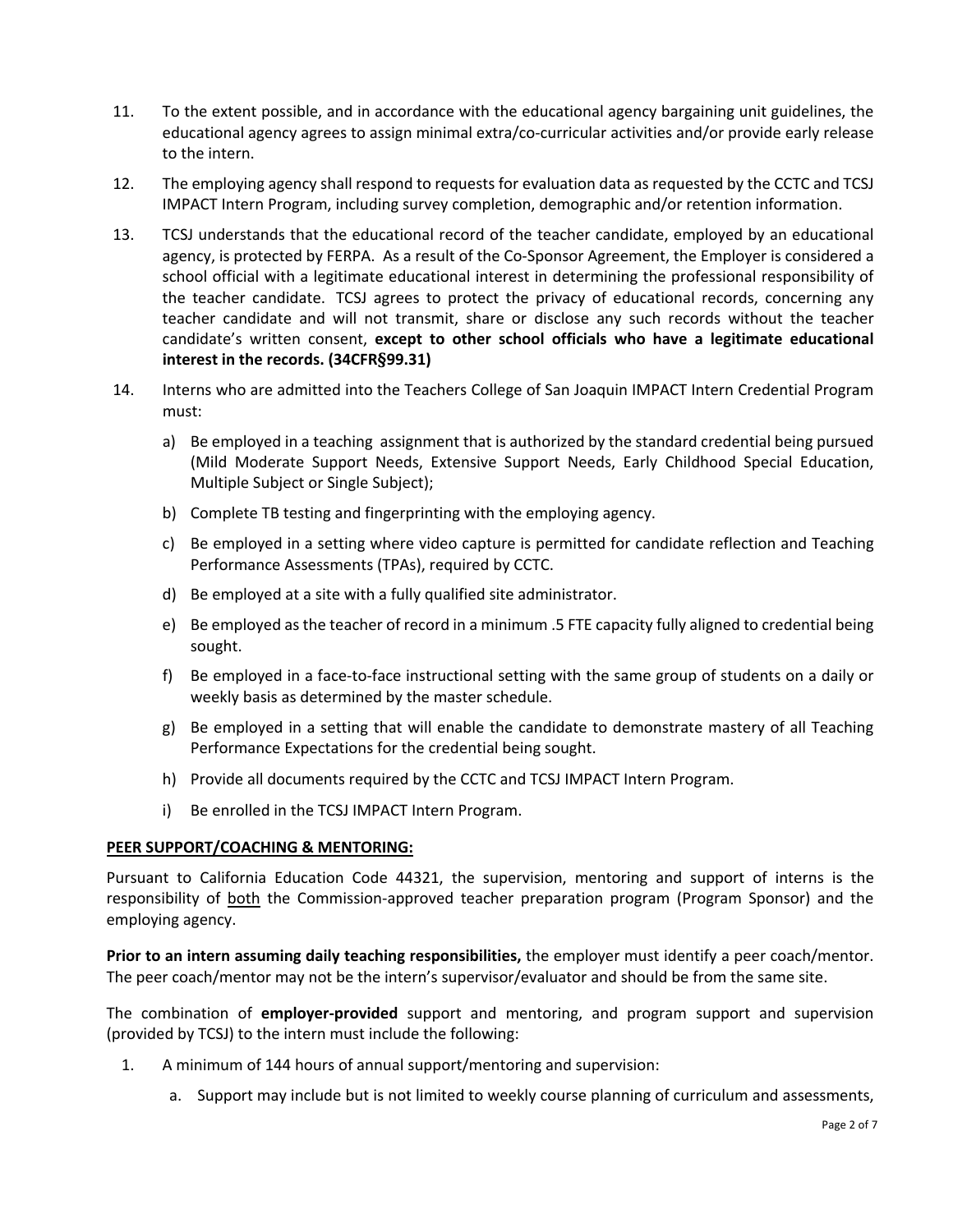- 11. To the extent possible, and in accordance with the educational agency bargaining unit guidelines, the educational agency agrees to assign minimal extra/co-curricular activities and/or provide early release to the intern.
- 12. The employing agency shall respond to requests for evaluation data as requested by the CCTC and TCSJ IMPACT Intern Program, including survey completion, demographic and/or retention information.
- 13. TCSJ understands that the educational record of the teacher candidate, employed by an educational agency, is protected by FERPA. As a result of the Co-Sponsor Agreement, the Employer is considered a school official with a legitimate educational interest in determining the professional responsibility of the teacher candidate. TCSJ agrees to protect the privacy of educational records, concerning any teacher candidate and will not transmit, share or disclose any such records without the teacher candidate's written consent, **except to other school officials who have a legitimate educational interest in the records. (34CFR§99.31)**
- 14. Interns who are admitted into the Teachers College of San Joaquin IMPACT Intern Credential Program must:
	- a) Be employed in a teaching assignment that is authorized by the standard credential being pursued (Mild Moderate Support Needs, Extensive Support Needs, Early Childhood Special Education, Multiple Subject or Single Subject);
	- b) Complete TB testing and fingerprinting with the employing agency.
	- c) Be employed in a setting where video capture is permitted for candidate reflection and Teaching Performance Assessments (TPAs), required by CCTC.
	- d) Be employed at a site with a fully qualified site administrator.
	- e) Be employed as the teacher of record in a minimum .5 FTE capacity fully aligned to credential being sought.
	- f) Be employed in a face-to-face instructional setting with the same group of students on a daily or weekly basis as determined by the master schedule.
	- g) Be employed in a setting that will enable the candidate to demonstrate mastery of all Teaching Performance Expectations for the credential being sought.
	- h) Provide all documents required by the CCTC and TCSJ IMPACT Intern Program.
	- i) Be enrolled in the TCSJ IMPACT Intern Program.

# **PEER SUPPORT/COACHING & MENTORING:**

Pursuant to California Education Code 44321, the supervision, mentoring and support of interns is the responsibility of **both** the Commission-approved teacher preparation program (Program Sponsor) and the employing agency.

**Prior to an intern assuming daily teaching responsibilities,** the employer must identify a peer coach/mentor. The peer coach/mentor may not be the intern's supervisor/evaluator and should be from the same site.

The combination of **employer-provided** support and mentoring, and program support and supervision (provided by TCSJ) to the intern must include the following:

- 1. A minimum of 144 hours of annual support/mentoring and supervision:
	- a. Support may include but is not limited to weekly course planning of curriculum and assessments,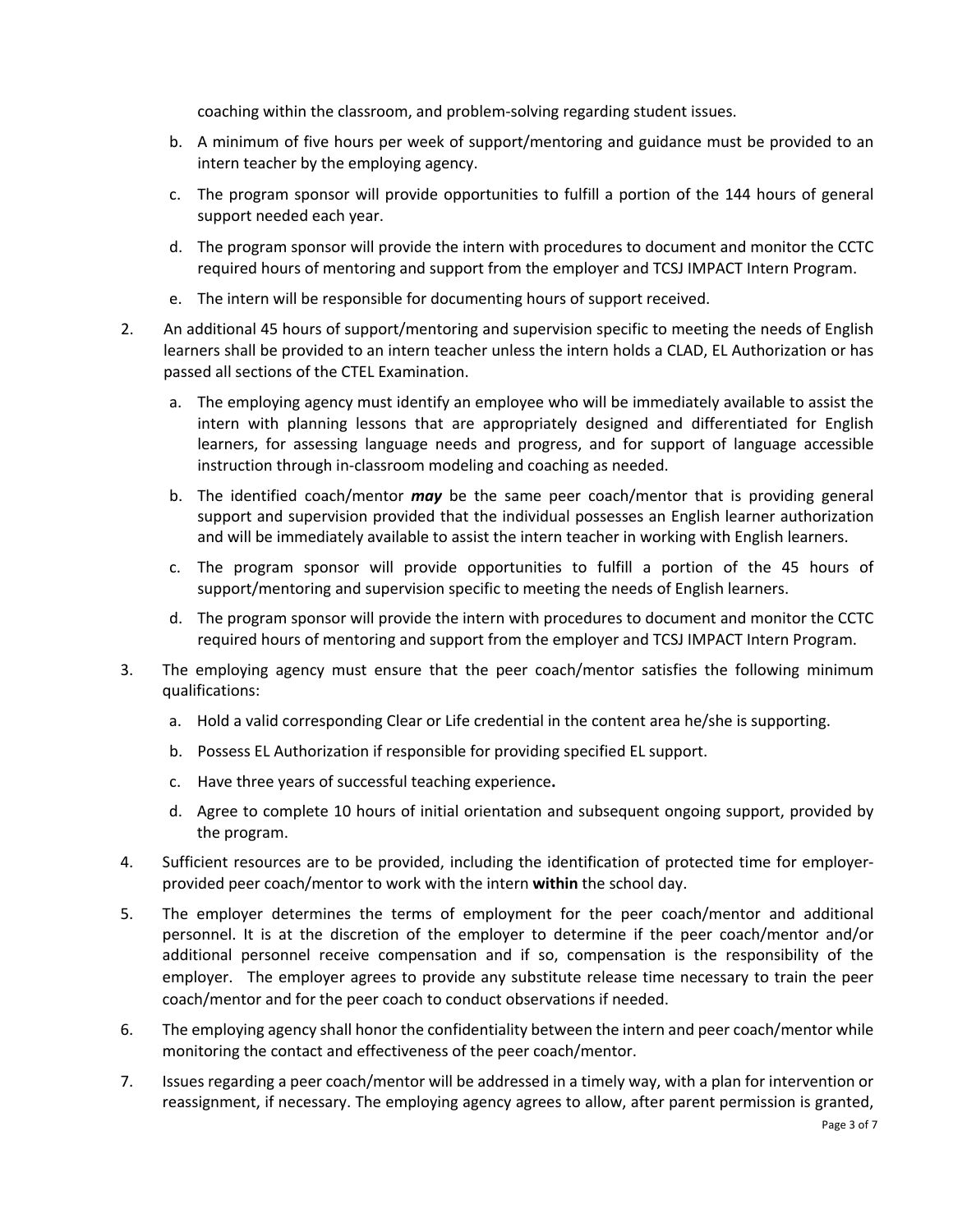coaching within the classroom, and problem-solving regarding student issues.

- b. A minimum of five hours per week of support/mentoring and guidance must be provided to an intern teacher by the employing agency.
- c. The program sponsor will provide opportunities to fulfill a portion of the 144 hours of general support needed each year.
- d. The program sponsor will provide the intern with procedures to document and monitor the CCTC required hours of mentoring and support from the employer and TCSJ IMPACT Intern Program.
- e. The intern will be responsible for documenting hours of support received.
- 2. An additional 45 hours of support/mentoring and supervision specific to meeting the needs of English learners shall be provided to an intern teacher unless the intern holds a CLAD, EL Authorization or has passed all sections of the CTEL Examination.
	- a. The employing agency must identify an employee who will be immediately available to assist the intern with planning lessons that are appropriately designed and differentiated for English learners, for assessing language needs and progress, and for support of language accessible instruction through in-classroom modeling and coaching as needed.
	- b. The identified coach/mentor *may* be the same peer coach/mentor that is providing general support and supervision provided that the individual possesses an English learner authorization and will be immediately available to assist the intern teacher in working with English learners.
	- c. The program sponsor will provide opportunities to fulfill a portion of the 45 hours of support/mentoring and supervision specific to meeting the needs of English learners.
	- d. The program sponsor will provide the intern with procedures to document and monitor the CCTC required hours of mentoring and support from the employer and TCSJ IMPACT Intern Program.
- 3. The employing agency must ensure that the peer coach/mentor satisfies the following minimum qualifications:
	- a. Hold a valid corresponding Clear or Life credential in the content area he/she is supporting.
	- b. Possess EL Authorization if responsible for providing specified EL support.
	- c. Have three years of successful teaching experience**.**
	- d. Agree to complete 10 hours of initial orientation and subsequent ongoing support, provided by the program.
- 4. Sufficient resources are to be provided, including the identification of protected time for employerprovided peer coach/mentor to work with the intern **within** the school day.
- 5. The employer determines the terms of employment for the peer coach/mentor and additional personnel. It is at the discretion of the employer to determine if the peer coach/mentor and/or additional personnel receive compensation and if so, compensation is the responsibility of the employer. The employer agrees to provide any substitute release time necessary to train the peer coach/mentor and for the peer coach to conduct observations if needed.
- 6. The employing agency shall honor the confidentiality between the intern and peer coach/mentor while monitoring the contact and effectiveness of the peer coach/mentor.
- 7. Issues regarding a peer coach/mentor will be addressed in a timely way, with a plan for intervention or reassignment, if necessary. The employing agency agrees to allow, after parent permission is granted,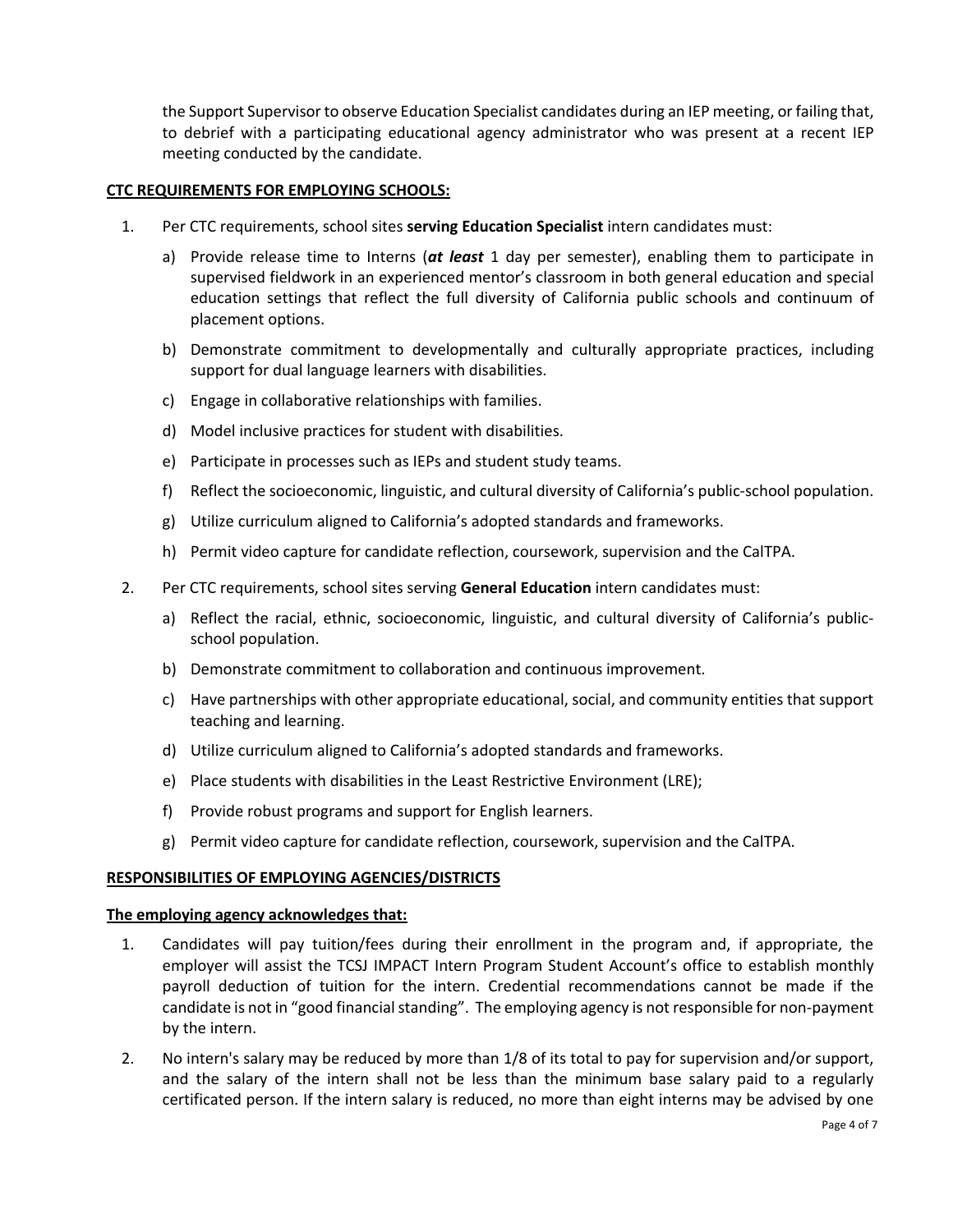the Support Supervisor to observe Education Specialist candidates during an IEP meeting, or failing that, to debrief with a participating educational agency administrator who was present at a recent IEP meeting conducted by the candidate.

## **CTC REQUIREMENTS FOR EMPLOYING SCHOOLS:**

- 1. Per CTC requirements, school sites **serving Education Specialist** intern candidates must:
	- a) Provide release time to Interns (*at least* 1 day per semester), enabling them to participate in supervised fieldwork in an experienced mentor's classroom in both general education and special education settings that reflect the full diversity of California public schools and continuum of placement options.
	- b) Demonstrate commitment to developmentally and culturally appropriate practices, including support for dual language learners with disabilities.
	- c) Engage in collaborative relationships with families.
	- d) Model inclusive practices for student with disabilities.
	- e) Participate in processes such as IEPs and student study teams.
	- f) Reflect the socioeconomic, linguistic, and cultural diversity of California's public-school population.
	- g) Utilize curriculum aligned to California's adopted standards and frameworks.
	- h) Permit video capture for candidate reflection, coursework, supervision and the CalTPA.
- 2. Per CTC requirements, school sites serving **General Education** intern candidates must:
	- a) Reflect the racial, ethnic, socioeconomic, linguistic, and cultural diversity of California's publicschool population.
	- b) Demonstrate commitment to collaboration and continuous improvement.
	- c) Have partnerships with other appropriate educational, social, and community entities that support teaching and learning.
	- d) Utilize curriculum aligned to California's adopted standards and frameworks.
	- e) Place students with disabilities in the Least Restrictive Environment (LRE);
	- f) Provide robust programs and support for English learners.
	- g) Permit video capture for candidate reflection, coursework, supervision and the CalTPA.

#### **RESPONSIBILITIES OF EMPLOYING AGENCIES/DISTRICTS**

#### **The employing agency acknowledges that:**

- 1. Candidates will pay tuition/fees during their enrollment in the program and, if appropriate, the employer will assist the TCSJ IMPACT Intern Program Student Account's office to establish monthly payroll deduction of tuition for the intern. Credential recommendations cannot be made if the candidate is not in "good financial standing". The employing agency is not responsible for non-payment by the intern.
- 2. No intern's salary may be reduced by more than 1/8 of its total to pay for supervision and/or support, and the salary of the intern shall not be less than the minimum base salary paid to a regularly certificated person. If the intern salary is reduced, no more than eight interns may be advised by one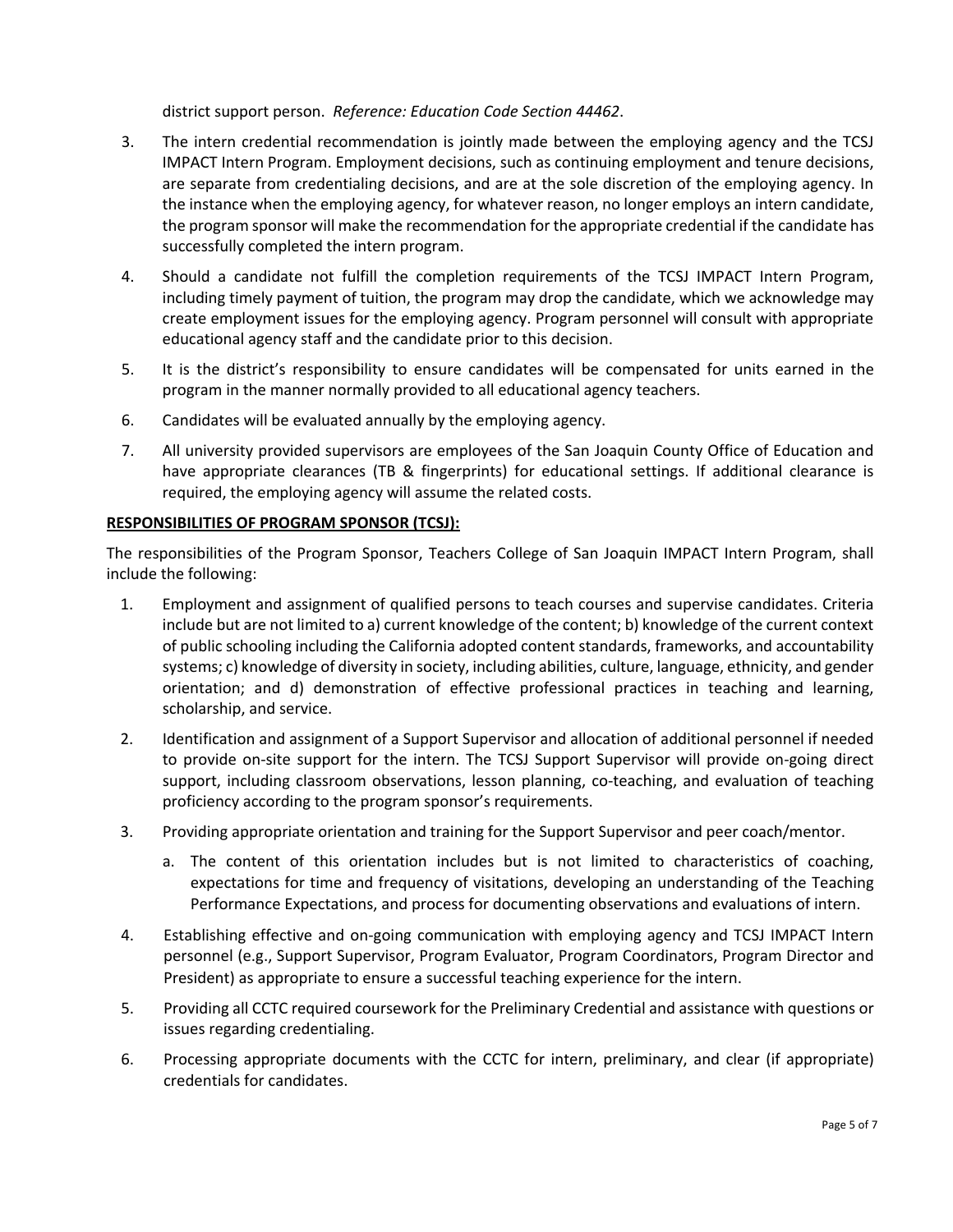district support person. *Reference: Education Code Section 44462*.

- 3. The intern credential recommendation is jointly made between the employing agency and the TCSJ IMPACT Intern Program. Employment decisions, such as continuing employment and tenure decisions, are separate from credentialing decisions, and are at the sole discretion of the employing agency. In the instance when the employing agency, for whatever reason, no longer employs an intern candidate, the program sponsor will make the recommendation for the appropriate credential if the candidate has successfully completed the intern program.
- 4. Should a candidate not fulfill the completion requirements of the TCSJ IMPACT Intern Program, including timely payment of tuition, the program may drop the candidate, which we acknowledge may create employment issues for the employing agency. Program personnel will consult with appropriate educational agency staff and the candidate prior to this decision.
- 5. It is the district's responsibility to ensure candidates will be compensated for units earned in the program in the manner normally provided to all educational agency teachers.
- 6. Candidates will be evaluated annually by the employing agency.
- 7. All university provided supervisors are employees of the San Joaquin County Office of Education and have appropriate clearances (TB & fingerprints) for educational settings. If additional clearance is required, the employing agency will assume the related costs.

# **RESPONSIBILITIES OF PROGRAM SPONSOR (TCSJ):**

The responsibilities of the Program Sponsor, Teachers College of San Joaquin IMPACT Intern Program, shall include the following:

- 1. Employment and assignment of qualified persons to teach courses and supervise candidates. Criteria include but are not limited to a) current knowledge of the content; b) knowledge of the current context of public schooling including the California adopted content standards, frameworks, and accountability systems; c) knowledge of diversity in society, including abilities, culture, language, ethnicity, and gender orientation; and d) demonstration of effective professional practices in teaching and learning, scholarship, and service.
- 2. Identification and assignment of a Support Supervisor and allocation of additional personnel if needed to provide on-site support for the intern. The TCSJ Support Supervisor will provide on-going direct support, including classroom observations, lesson planning, co-teaching, and evaluation of teaching proficiency according to the program sponsor's requirements.
- 3. Providing appropriate orientation and training for the Support Supervisor and peer coach/mentor.
	- a. The content of this orientation includes but is not limited to characteristics of coaching, expectations for time and frequency of visitations, developing an understanding of the Teaching Performance Expectations, and process for documenting observations and evaluations of intern.
- 4. Establishing effective and on-going communication with employing agency and TCSJ IMPACT Intern personnel (e.g., Support Supervisor, Program Evaluator, Program Coordinators, Program Director and President) as appropriate to ensure a successful teaching experience for the intern.
- 5. Providing all CCTC required coursework for the Preliminary Credential and assistance with questions or issues regarding credentialing.
- 6. Processing appropriate documents with the CCTC for intern, preliminary, and clear (if appropriate) credentials for candidates.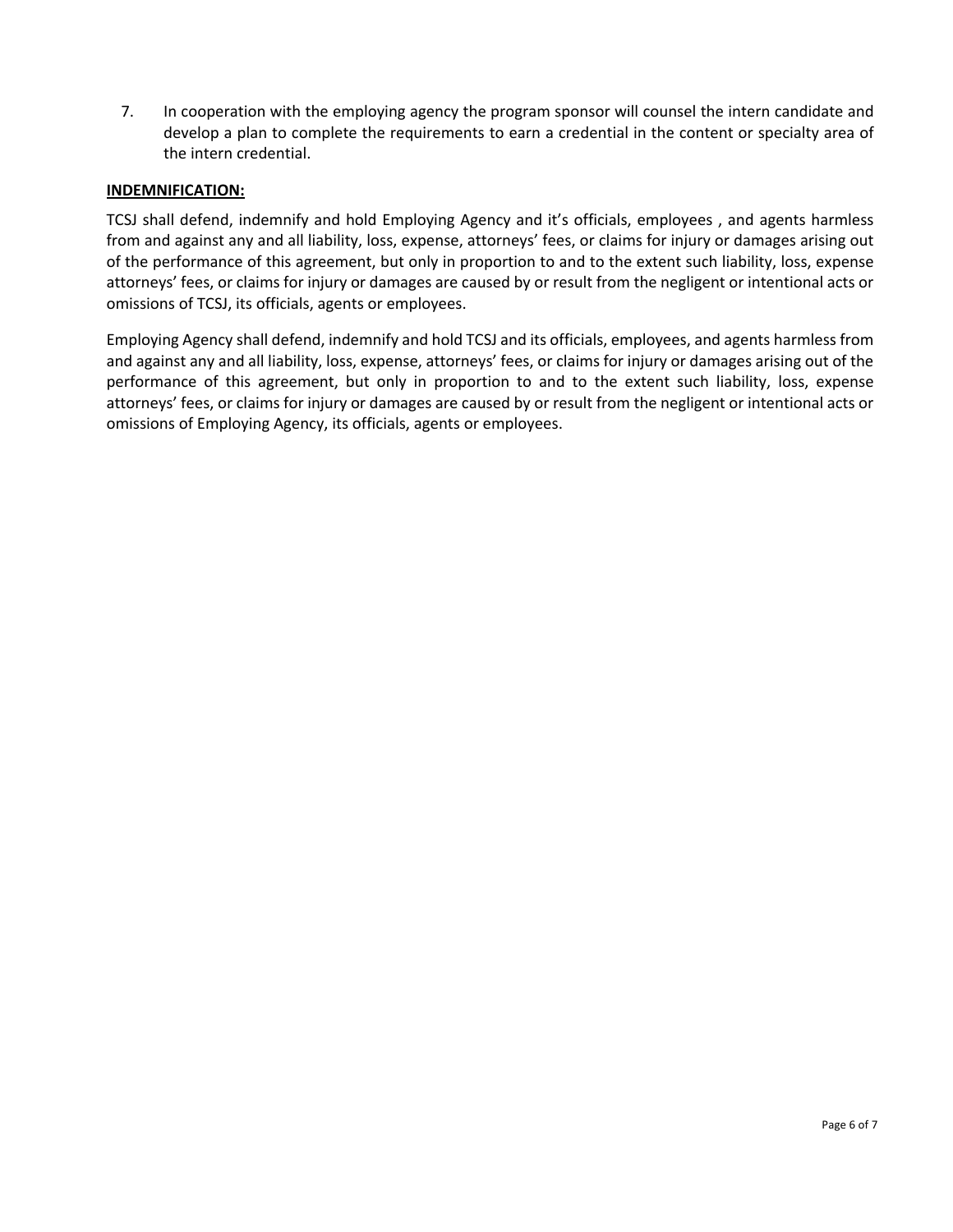7. In cooperation with the employing agency the program sponsor will counsel the intern candidate and develop a plan to complete the requirements to earn a credential in the content or specialty area of the intern credential.

# **INDEMNIFICATION:**

TCSJ shall defend, indemnify and hold Employing Agency and it's officials, employees , and agents harmless from and against any and all liability, loss, expense, attorneys' fees, or claims for injury or damages arising out of the performance of this agreement, but only in proportion to and to the extent such liability, loss, expense attorneys' fees, or claims for injury or damages are caused by or result from the negligent or intentional acts or omissions of TCSJ, its officials, agents or employees.

Employing Agency shall defend, indemnify and hold TCSJ and its officials, employees, and agents harmless from and against any and all liability, loss, expense, attorneys' fees, or claims for injury or damages arising out of the performance of this agreement, but only in proportion to and to the extent such liability, loss, expense attorneys' fees, or claims for injury or damages are caused by or result from the negligent or intentional acts or omissions of Employing Agency, its officials, agents or employees.